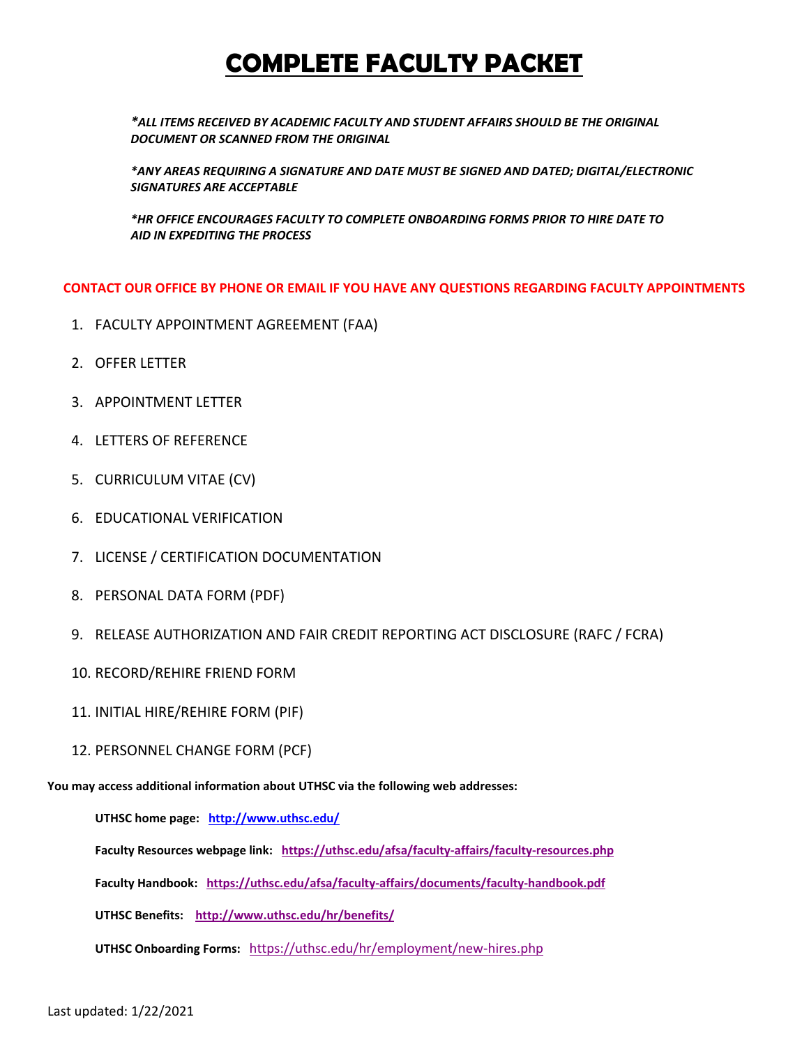# **COMPLETE FACULTY PACKET**

*\*ALL ITEMS RECEIVED BY ACADEMIC FACULTY AND STUDENT AFFAIRS SHOULD BE THE ORIGINAL DOCUMENT OR SCANNED FROM THE ORIGINAL*

*\*ANY AREAS REQUIRING A SIGNATURE AND DATE MUST BE SIGNED AND DATED; DIGITAL/ELECTRONIC SIGNATURES ARE ACCEPTABLE*

*\*HR OFFICE ENCOURAGES FACULTY TO COMPLETE ONBOARDING FORMS PRIOR TO HIRE DATE TO AID IN EXPEDITING THE PROCESS*

**CONTACT OUR OFFICE BY PHONE OR EMAIL IF YOU HAVE ANY QUESTIONS REGARDING FACULTY APPOINTMENTS**

- 1. FACULTY APPOINTMENT AGREEMENT (FAA)
- 2. OFFER LETTER
- 3. APPOINTMENT LETTER
- 4. LETTERS OF REFERENCE
- 5. CURRICULUM VITAE (CV)
- 6. EDUCATIONAL VERIFICATION
- 7. LICENSE / CERTIFICATION DOCUMENTATION
- 8. PERSONAL DATA FORM (PDF)
- 9. RELEASE AUTHORIZATION AND FAIR CREDIT REPORTING ACT DISCLOSURE (RAFC / FCRA)
- 10. RECORD/REHIRE FRIEND FORM
- 11. INITIAL HIRE/REHIRE FORM (PIF)
- 12. PERSONNEL CHANGE FORM (PCF)

**You may access additional information about UTHSC via the following web addresses:**

**UTHSC home page: <http://www.uthsc.edu/>**

**Faculty Resources webpage link: <https://uthsc.edu/afsa/faculty-affairs/faculty-resources.php>**

**Faculty Handbook:<https://uthsc.edu/afsa/faculty-affairs/documents/faculty-handbook.pdf>**

**UTHSC Benefits: <http://www.uthsc.edu/hr/benefits/>**

**UTHSC Onboarding Forms:** <https://uthsc.edu/hr/employment/new-hires.php>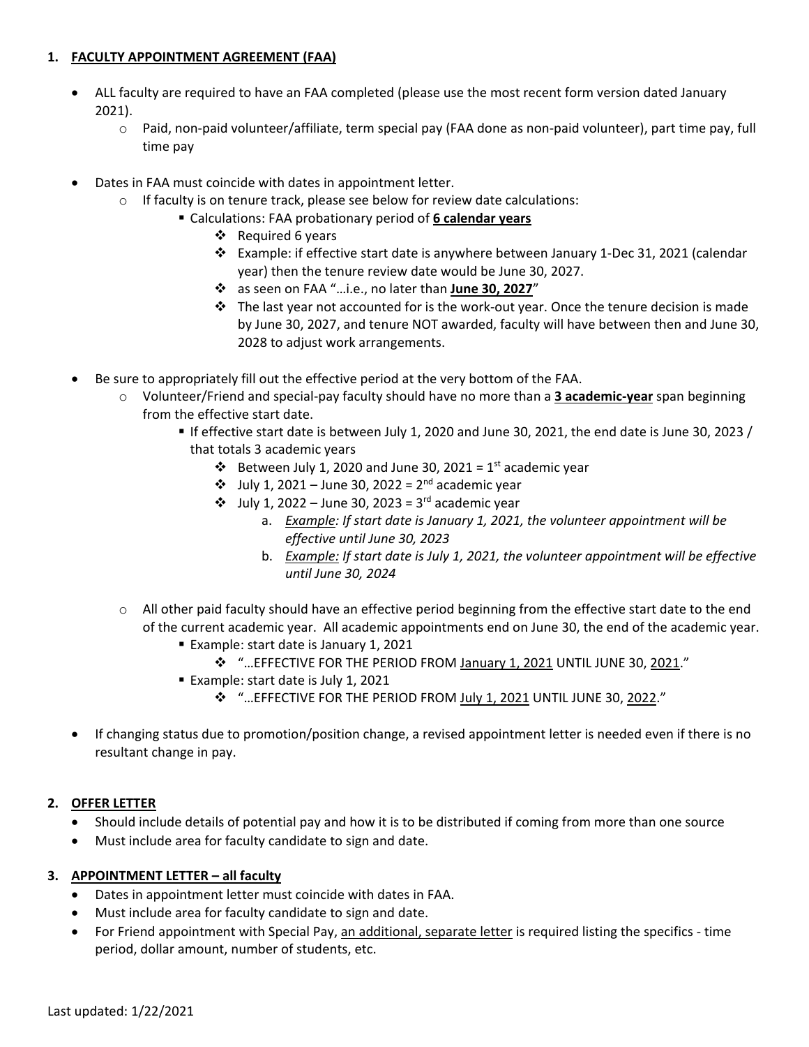## **1. FACULTY APPOINTMENT AGREEMENT (FAA)**

- ALL faculty are required to have an FAA completed (please use the most recent form version dated January 2021).
	- o Paid, non-paid volunteer/affiliate, term special pay (FAA done as non-paid volunteer), part time pay, full time pay
- Dates in FAA must coincide with dates in appointment letter.
	- o If faculty is on tenure track, please see below for review date calculations:
		- Calculations: FAA probationary period of **6 calendar years**
			- $\div$  Required 6 years
			- $\div$  Example: if effective start date is anywhere between January 1-Dec 31, 2021 (calendar year) then the tenure review date would be June 30, 2027.
			- as seen on FAA "…i.e., no later than **June 30, 2027**"
			- $\div$  The last year not accounted for is the work-out year. Once the tenure decision is made by June 30, 2027, and tenure NOT awarded, faculty will have between then and June 30, 2028 to adjust work arrangements.
- Be sure to appropriately fill out the effective period at the very bottom of the FAA.
	- o Volunteer/Friend and special-pay faculty should have no more than a **3 academic-year** span beginning from the effective start date.
		- If effective start date is between July 1, 2020 and June 30, 2021, the end date is June 30, 2023 / that totals 3 academic years
			- $\cdot \cdot$  Between July 1, 2020 and June 30, 2021 = 1<sup>st</sup> academic year
			- $\div$  July 1, 2021 June 30, 2022 = 2<sup>nd</sup> academic year
			- $\cdot$  July 1, 2022 June 30, 2023 = 3<sup>rd</sup> academic year
				- a. *Example: If start date is January 1, 2021, the volunteer appointment will be effective until June 30, 2023*
				- b. *Example: If start date is July 1, 2021, the volunteer appointment will be effective until June 30, 2024*
	- $\circ$  All other paid faculty should have an effective period beginning from the effective start date to the end of the current academic year. All academic appointments end on June 30, the end of the academic year.
		- **Example: start date is January 1, 2021** 
			- "…EFFECTIVE FOR THE PERIOD FROM January 1, 2021 UNTIL JUNE 30, 2021."
		- **Example: start date is July 1, 2021** 
			- **<sup>4</sup>** "... EFFECTIVE FOR THE PERIOD FROM July 1, 2021 UNTIL JUNE 30, 2022."
- If changing status due to promotion/position change, a revised appointment letter is needed even if there is no resultant change in pay.

# **2. OFFER LETTER**

- Should include details of potential pay and how it is to be distributed if coming from more than one source
- Must include area for faculty candidate to sign and date.

# **3. APPOINTMENT LETTER – all faculty**

- Dates in appointment letter must coincide with dates in FAA.
- Must include area for faculty candidate to sign and date.
- For Friend appointment with Special Pay, an additional, separate letter is required listing the specifics time period, dollar amount, number of students, etc.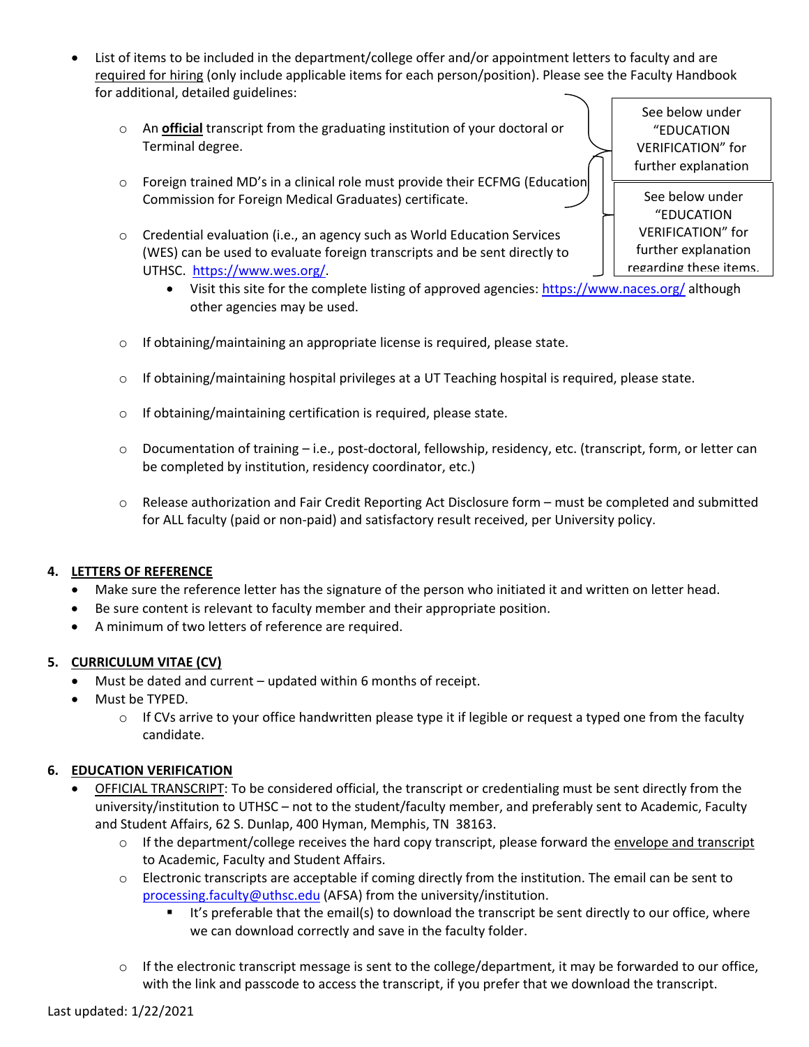- List of items to be included in the department/college offer and/or appointment letters to faculty and are required for hiring (only include applicable items for each person/position). Please see the Faculty Handbook for additional, detailed guidelines:
	- o An **official** transcript from the graduating institution of your doctoral or Terminal degree.
	- o Foreign trained MD's in a clinical role must provide their ECFMG (Education Commission for Foreign Medical Graduates) certificate.
	- o Credential evaluation (i.e., an agency such as World Education Services (WES) can be used to evaluate foreign transcripts and be sent directly to UTHSC. [https://www.wes.org/.](https://www.wes.org/)
		- Visit this site for the complete listing of approved agencies:<https://www.naces.org/> although other agencies may be used.
	- o If obtaining/maintaining an appropriate license is required, please state.
	- $\circ$  If obtaining/maintaining hospital privileges at a UT Teaching hospital is required, please state.
	- $\circ$  If obtaining/maintaining certification is required, please state.
	- o Documentation of training i.e., post-doctoral, fellowship, residency, etc. (transcript, form, or letter can be completed by institution, residency coordinator, etc.)
	- o Release authorization and Fair Credit Reporting Act Disclosure form must be completed and submitted for ALL faculty (paid or non-paid) and satisfactory result received, per University policy.

### **4. LETTERS OF REFERENCE**

- Make sure the reference letter has the signature of the person who initiated it and written on letter head.
- Be sure content is relevant to faculty member and their appropriate position.
- A minimum of two letters of reference are required.

### **5. CURRICULUM VITAE (CV)**

- Must be dated and current updated within 6 months of receipt.
- Must be TYPED.
	- $\circ$  If CVs arrive to your office handwritten please type it if legible or request a typed one from the faculty candidate.

### **6. EDUCATION VERIFICATION**

- OFFICIAL TRANSCRIPT: To be considered official, the transcript or credentialing must be sent directly from the university/institution to UTHSC – not to the student/faculty member, and preferably sent to Academic, Faculty and Student Affairs, 62 S. Dunlap, 400 Hyman, Memphis, TN 38163.
	- $\circ$  If the department/college receives the hard copy transcript, please forward the envelope and transcript to Academic, Faculty and Student Affairs.
	- $\circ$  Electronic transcripts are acceptable if coming directly from the institution. The email can be sent to [processing.faculty@uthsc.edu](mailto:processing.faculty@uthsc.edu) (AFSA) from the university/institution.
		- If it's preferable that the email(s) to download the transcript be sent directly to our office, where we can download correctly and save in the faculty folder.
	- $\circ$  If the electronic transcript message is sent to the college/department, it may be forwarded to our office, with the link and passcode to access the transcript, if you prefer that we download the transcript.

See below under "EDUCATION VERIFICATION" for further explanation

 See below under "EDUCATION VERIFICATION" for further explanation regarding these items.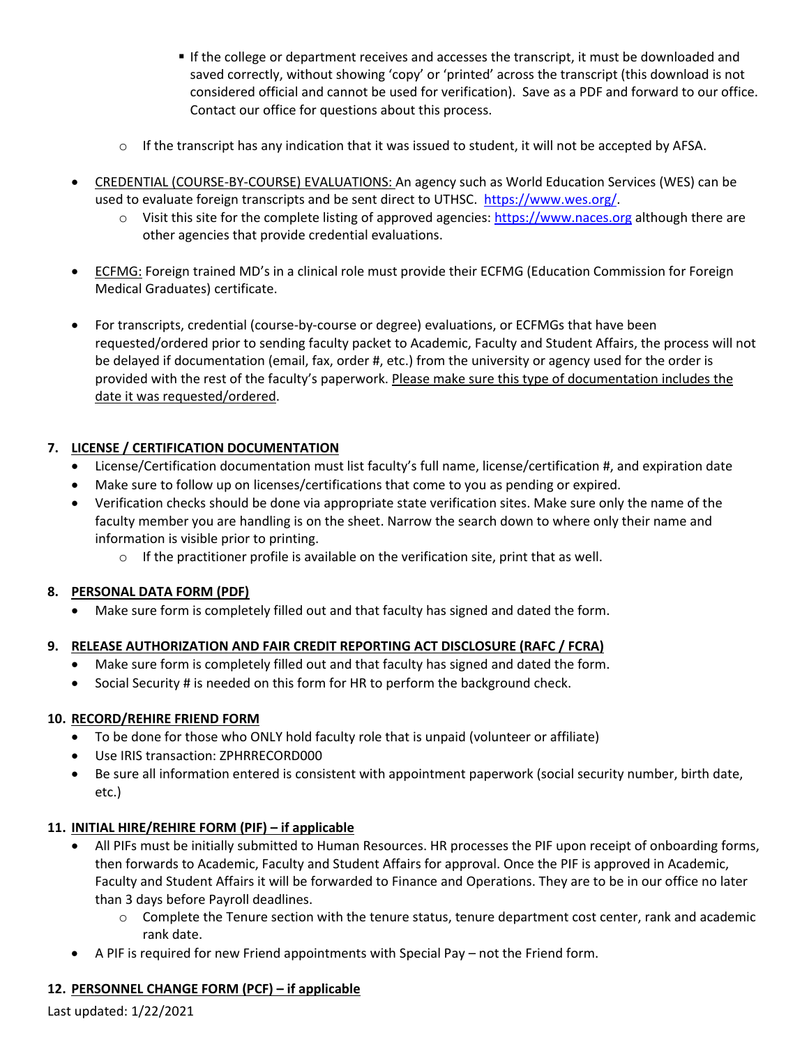- If the college or department receives and accesses the transcript, it must be downloaded and saved correctly, without showing 'copy' or 'printed' across the transcript (this download is not considered official and cannot be used for verification). Save as a PDF and forward to our office. Contact our office for questions about this process.
- $\circ$  If the transcript has any indication that it was issued to student, it will not be accepted by AFSA.
- CREDENTIAL (COURSE-BY-COURSE) EVALUATIONS: An agency such as World Education Services (WES) can be used to evaluate foreign transcripts and be sent direct to UTHSC. [https://www.wes.org/.](https://www.wes.org/)
	- o Visit this site for the complete listing of approved agencies: [https://www.naces.org](https://www.naces.org/) although there are other agencies that provide credential evaluations.
- ECFMG: Foreign trained MD's in a clinical role must provide their ECFMG (Education Commission for Foreign Medical Graduates) certificate.
- For transcripts, credential (course-by-course or degree) evaluations, or ECFMGs that have been requested/ordered prior to sending faculty packet to Academic, Faculty and Student Affairs, the process will not be delayed if documentation (email, fax, order #, etc.) from the university or agency used for the order is provided with the rest of the faculty's paperwork. Please make sure this type of documentation includes the date it was requested/ordered.

# **7. LICENSE / CERTIFICATION DOCUMENTATION**

- License/Certification documentation must list faculty's full name, license/certification #, and expiration date
- Make sure to follow up on licenses/certifications that come to you as pending or expired.
- Verification checks should be done via appropriate state verification sites. Make sure only the name of the faculty member you are handling is on the sheet. Narrow the search down to where only their name and information is visible prior to printing.
	- $\circ$  If the practitioner profile is available on the verification site, print that as well.

# **8. PERSONAL DATA FORM (PDF)**

• Make sure form is completely filled out and that faculty has signed and dated the form.

# **9. RELEASE AUTHORIZATION AND FAIR CREDIT REPORTING ACT DISCLOSURE (RAFC / FCRA)**

- Make sure form is completely filled out and that faculty has signed and dated the form.
- Social Security # is needed on this form for HR to perform the background check.

# **10. RECORD/REHIRE FRIEND FORM**

- To be done for those who ONLY hold faculty role that is unpaid (volunteer or affiliate)
- Use IRIS transaction: ZPHRRECORD000
- Be sure all information entered is consistent with appointment paperwork (social security number, birth date, etc.)

# **11. INITIAL HIRE/REHIRE FORM (PIF) – if applicable**

- All PIFs must be initially submitted to Human Resources. HR processes the PIF upon receipt of onboarding forms, then forwards to Academic, Faculty and Student Affairs for approval. Once the PIF is approved in Academic, Faculty and Student Affairs it will be forwarded to Finance and Operations. They are to be in our office no later than 3 days before Payroll deadlines.
	- $\circ$  Complete the Tenure section with the tenure status, tenure department cost center, rank and academic rank date.
- A PIF is required for new Friend appointments with Special Pay not the Friend form.

# **12. PERSONNEL CHANGE FORM (PCF) – if applicable**

Last updated: 1/22/2021